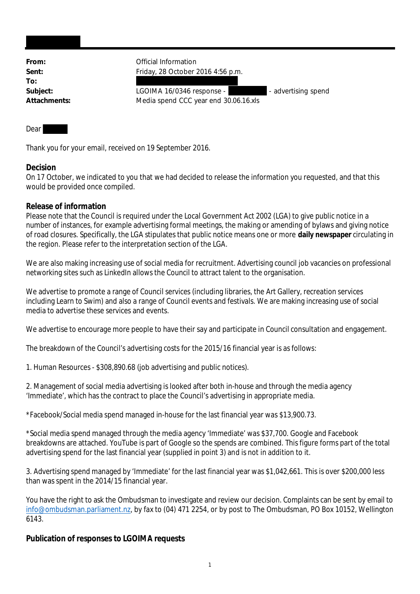**To:**

From: **From:** Official Information **Sent:** Friday, 28 October 2016 4:56 p.m.

Subject: LGOIMA 16/0346 response - - - - advertising spend **Attachments:** Media spend CCC year end 30.06.16.xls

## Dear

Thank you for your email, received on 19 September 2016.

## **Decision**

On 17 October, we indicated to you that we had decided to release the information you requested, and that this would be provided once compiled.

## **Release of information**

Please note that the Council is required under the Local Government Act 2002 (LGA) to give public notice in a number of instances, for example advertising formal meetings, the making or amending of bylaws and giving notice of road closures. Specifically, the LGA stipulates that public notice means one or more **daily newspaper** circulating in the region. Please refer to the interpretation section of the LGA.

We are also making increasing use of social media for recruitment. Advertising council job vacancies on professional networking sites such as LinkedIn allows the Council to attract talent to the organisation.

We advertise to promote a range of Council services (including libraries, the Art Gallery, recreation services including Learn to Swim) and also a range of Council events and festivals. We are making increasing use of social media to advertise these services and events.

We advertise to encourage more people to have their say and participate in Council consultation and engagement.

The breakdown of the Council's advertising costs for the 2015/16 financial year is as follows:

1. Human Resources - \$308,890.68 (job advertising and public notices).

2. Management of social media advertising is looked after both in-house and through the media agency 'Immediate', which has the contract to place the Council's advertising in appropriate media.

\*Facebook/Social media spend managed in-house for the last financial year was \$13,900.73.

\*Social media spend managed through the media agency 'Immediate' was \$37,700. Google and Facebook breakdowns are attached. YouTube is part of Google so the spends are combined. This figure forms part of the total advertising spend for the last financial year (supplied in point 3) and is not in addition to it.

3. Advertising spend managed by 'Immediate' for the last financial year was \$1,042,661. This is over \$200,000 less than was spent in the 2014/15 financial year.

You have the right to ask the Ombudsman to investigate and review our decision. Complaints can be sent by email to info@ombudsman.parliament.nz, by fax to (04) 471 2254, or by post to The Ombudsman, PO Box 10152, Wellington 6143.

**Publication of responses to LGOIMA requests**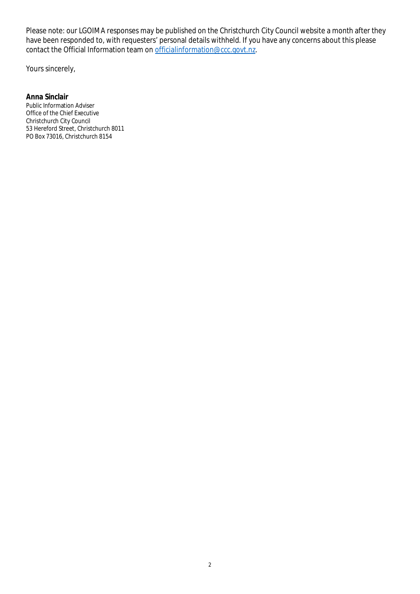Please note: our LGOIMA responses may be published on the Christchurch City Council website a month after they have been responded to, with requesters' personal details withheld. If you have any concerns about this please contact the Official Information team on officialinformation@ccc.govt.nz.

Yours sincerely,

**Anna Sinclair** Public Information Adviser Office of the Chief Executive Christchurch City Council 53 Hereford Street, Christchurch 8011 PO Box 73016, Christchurch 8154